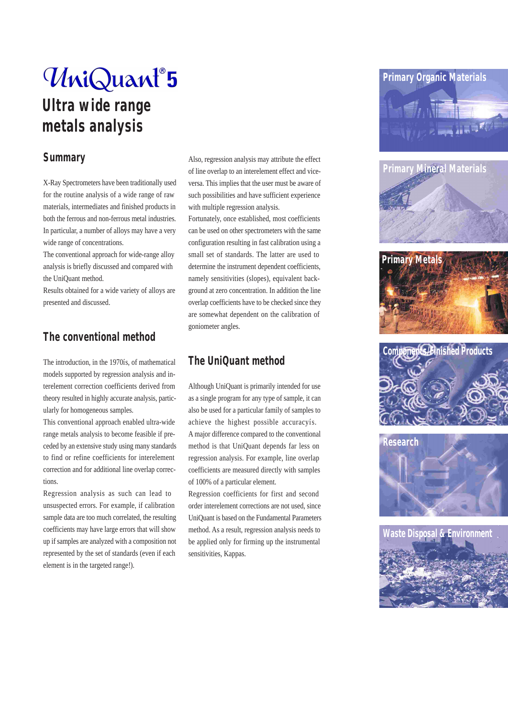# UniQuant®5 **Ultra wide range metals analysis**

#### **Summary**

X-Ray Spectrometers have been traditionally used for the routine analysis of a wide range of raw materials, intermediates and finished products in both the ferrous and non-ferrous metal industries. In particular, a number of alloys may have a very wide range of concentrations.

The conventional approach for wide-range alloy analysis is briefly discussed and compared with the UniQuant method.

Results obtained for a wide variety of alloys are presented and discussed.

### **The conventional method**

The introduction, in the 1970ís, of mathematical models supported by regression analysis and interelement correction coefficients derived from theory resulted in highly accurate analysis, particularly for homogeneous samples.

This conventional approach enabled ultra-wide range metals analysis to become feasible if preceded by an extensive study using many standards to find or refine coefficients for interelement correction and for additional line overlap corrections.

Regression analysis as such can lead to unsuspected errors. For example, if calibration sample data are too much correlated, the resulting coefficients may have large errors that will show up if samples are analyzed with a composition not represented by the set of standards (even if each element is in the targeted range!).

Also, regression analysis may attribute the effect of line overlap to an interelement effect and viceversa. This implies that the user must be aware of such possibilities and have sufficient experience with multiple regression analysis.

Fortunately, once established, most coefficients can be used on other spectrometers with the same configuration resulting in fast calibration using a small set of standards. The latter are used to determine the instrument dependent coefficients, namely sensitivities (slopes), equivalent background at zero concentration. In addition the line overlap coefficients have to be checked since they are somewhat dependent on the calibration of goniometer angles.

### **The UniQuant method**

Although UniQuant is primarily intended for use as a single program for any type of sample, it can also be used for a particular family of samples to achieve the highest possible accuracyís. A major difference compared to the conventional method is that UniQuant depends far less on regression analysis. For example, line overlap coefficients are measured directly with samples of 100% of a particular element.

Regression coefficients for first and second order interelement corrections are not used, since UniQuant is based on the Fundamental Parameters method. As a result, regression analysis needs to be applied only for firming up the instrumental sensitivities, Kappas.











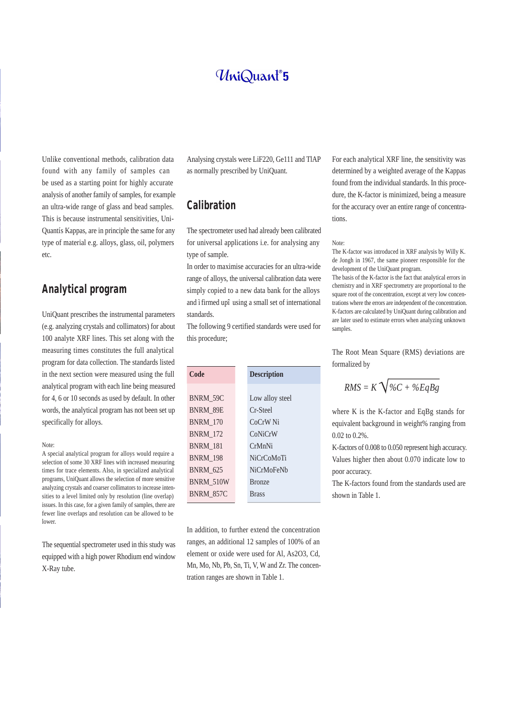## UniQuant®5

Unlike conventional methods, calibration data found with any family of samples can be used as a starting point for highly accurate analysis of another family of samples, for example an ultra-wide range of glass and bead samples. This is because instrumental sensitivities, Uni-Quantís Kappas, are in principle the same for any type of material e.g. alloys, glass, oil, polymers etc.

#### **Analytical program**

UniQuant prescribes the instrumental parameters (e.g. analyzing crystals and collimators) for about 100 analyte XRF lines. This set along with the measuring times constitutes the full analytical program for data collection. The standards listed in the next section were measured using the full analytical program with each line being measured for 4, 6 or 10 seconds as used by default. In other words, the analytical program has not been set up specifically for alloys.

#### Note:

A special analytical program for alloys would require a selection of some 30 XRF lines with increased measuring times for trace elements. Also, in specialized analytical programs, UniQuant allows the selection of more sensitive analyzing crystals and coarser collimators to increase intensities to a level limited only by resolution (line overlap) issues. In this case, for a given family of samples, there are fewer line overlaps and resolution can be allowed to be lower.

The sequential spectrometer used in this study was equipped with a high power Rhodium end window X-Ray tube.

Analysing crystals were LiF220, Ge111 and TlAP as normally prescribed by UniQuant.

#### **Calibration**

The spectrometer used had already been calibrated for universal applications i.e. for analysing any type of sample.

In order to maximise accuracies for an ultra-wide range of alloys, the universal calibration data were simply copied to a new data bank for the alloys and ìfirmed upî using a small set of international standards.

The following 9 certified standards were used for this procedure;

| Code             | <b>Description</b>  |
|------------------|---------------------|
|                  |                     |
| BNRM_59C         | Low alloy steel     |
| BNRM 89E         | Cr-Steel            |
| BNRM_170         | CoCrW <sub>Ni</sub> |
| <b>BNRM_172</b>  | CoNiCrW             |
| BNRM 181         | CrMnNi              |
| <b>BNRM_198</b>  | <b>NiCrCoMoTi</b>   |
| <b>BNRM_625</b>  | NiCrMoFeNb          |
| BNRM_510W        | <b>Bronze</b>       |
| <b>BNRM_857C</b> | <b>Brass</b>        |
|                  |                     |

In addition, to further extend the concentration ranges, an additional 12 samples of 100% of an element or oxide were used for Al, As2O3, Cd, Mn, Mo, Nb, Pb, Sn, Ti, V, W and Zr. The concentration ranges are shown in Table 1.

For each analytical XRF line, the sensitivity was determined by a weighted average of the Kappas found from the individual standards. In this procedure, the K-factor is minimized, being a measure for the accuracy over an entire range of concentrations.

#### Note:

The K-factor was introduced in XRF analysis by Willy K. de Jongh in 1967, the same pioneer responsible for the development of the UniQuant program.

The basis of the K-factor is the fact that analytical errors in chemistry and in XRF spectrometry are proportional to the square root of the concentration, except at very low concentrations where the errors are independent of the concentration. K-factors are calculated by UniQuant during calibration and are later used to estimate errors when analyzing unknown samples.

The Root Mean Square (RMS) deviations are formalized by

$$
RMS = K\sqrt{\%C + \%EqBg}
$$

where K is the K-factor and EqBg stands for equivalent background in weight% ranging from 0.02 to 0.2%.

K-factors of 0.008 to 0.050 represent high accuracy. Values higher then about 0.070 indicate low to poor accuracy.

The K-factors found from the standards used are shown in Table 1.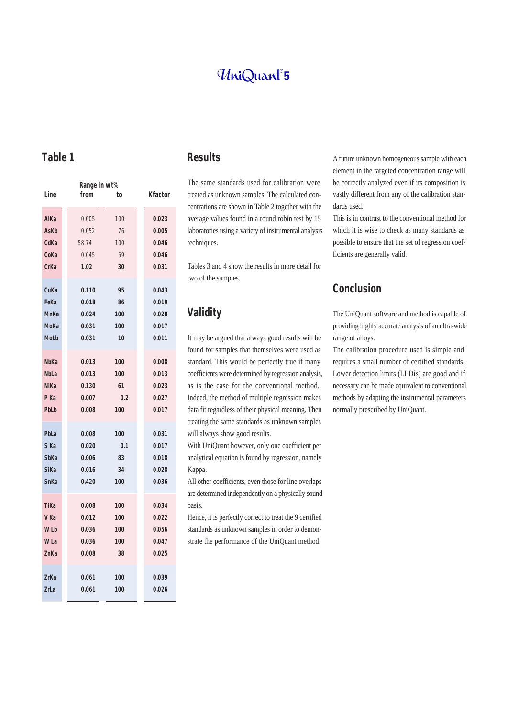## UniQuant<sup>®</sup>5

**Table 1**

|                  | Range in wt% |     |         |  |  |  |
|------------------|--------------|-----|---------|--|--|--|
| Line             | from         | to  | Kfactor |  |  |  |
| AlKa             | 0.005        | 100 | 0.023   |  |  |  |
| <b>AsKb</b>      | 0.052        | 76  | 0.005   |  |  |  |
| CdKa             | 58.74        | 100 | 0.046   |  |  |  |
| CoKa             | 0.045        | 59  | 0.046   |  |  |  |
| <b>CrKa</b>      | 1.02         | 30  | 0.031   |  |  |  |
|                  |              |     |         |  |  |  |
| CuKa             | 0.110        | 95  | 0.043   |  |  |  |
| FeKa             | 0.018        | 86  | 0.019   |  |  |  |
| MnKa             | 0.024        | 100 | 0.028   |  |  |  |
| MoKa             | 0.031        | 100 | 0.017   |  |  |  |
| MoLb             | 0.031        | 10  | 0.011   |  |  |  |
|                  |              |     |         |  |  |  |
| <b>NbKa</b>      | 0.013        | 100 | 0.008   |  |  |  |
| <b>NbLa</b>      | 0.013        | 100 | 0.013   |  |  |  |
| <b>NiKa</b>      | 0.130        | 61  | 0.023   |  |  |  |
| P Ka             | 0.007        | 0.2 | 0.027   |  |  |  |
| PbLb             | 0.008        | 100 | 0.017   |  |  |  |
|                  |              |     |         |  |  |  |
| PbLa             | 0.008        | 100 | 0.031   |  |  |  |
| S Ka             | 0.020        | 0.1 | 0.017   |  |  |  |
| <b>SbKa</b>      | 0.006        | 83  | 0.018   |  |  |  |
| <b>SiKa</b>      | 0.016        | 34  | 0.028   |  |  |  |
| SnKa             | 0.420        | 100 | 0.036   |  |  |  |
|                  |              |     |         |  |  |  |
| TiKa             | 0.008        | 100 | 0.034   |  |  |  |
| V Ka             | 0.012        | 100 | 0.022   |  |  |  |
| W <sub>L</sub> b | 0.036        | 100 | 0.056   |  |  |  |
| W La             | 0.036        | 100 | 0.047   |  |  |  |
| ZnKa             | 0.008        | 38  | 0.025   |  |  |  |
|                  |              |     |         |  |  |  |
| ZrKa             | 0.061        | 100 | 0.039   |  |  |  |
| ZrLa             | 0.061        | 100 | 0.026   |  |  |  |

#### **Results**

The same standards used for calibration were treated as unknown samples. The calculated concentrations are shown in Table 2 together with the average values found in a round robin test by 15 laboratories using a variety of instrumental analysis techniques.

Tables 3 and 4 show the results in more detail for two of the samples.

## **Validity**

It may be argued that always good results will be found for samples that themselves were used as standard. This would be perfectly true if many coefficients were determined by regression analysis, as is the case for the conventional method. Indeed, the method of multiple regression makes data fit regardless of their physical meaning. Then treating the same standards as unknown samples will always show good results.

With UniQuant however, only one coefficient per analytical equation is found by regression, namely Kappa.

All other coefficients, even those for line overlaps are determined independently on a physically sound basis.

Hence, it is perfectly correct to treat the 9 certified standards as unknown samples in order to demonstrate the performance of the UniQuant method.

A future unknown homogeneous sample with each element in the targeted concentration range will be correctly analyzed even if its composition is vastly different from any of the calibration standards used.

This is in contrast to the conventional method for which it is wise to check as many standards as possible to ensure that the set of regression coefficients are generally valid.

#### **Conclusion**

The UniQuant software and method is capable of providing highly accurate analysis of an ultra-wide range of alloys.

The calibration procedure used is simple and requires a small number of certified standards. Lower detection limits (LLDís) are good and if necessary can be made equivalent to conventional methods by adapting the instrumental parameters normally prescribed by UniQuant.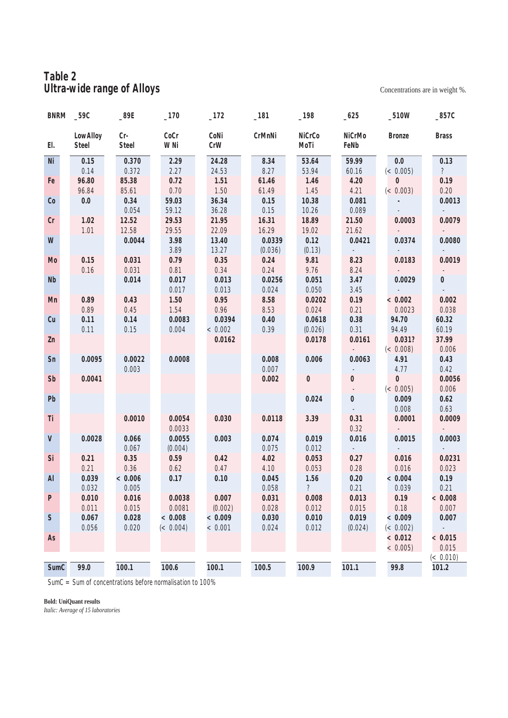### **Table 2 Ultra-wide range of Alloys** Concentrations are in weight %.

| BNRM _59C    |                          | $-89E$                | $-170$         | $-172$         | $-181$          | $-198$          | $-625$                       | $-510W$                | $\_857C$                 |
|--------------|--------------------------|-----------------------|----------------|----------------|-----------------|-----------------|------------------------------|------------------------|--------------------------|
| El.          | LowAlloy<br><b>Steel</b> | $Cr-$<br><b>Steel</b> | CoCr<br>W Ni   | CoNi<br>CrW    | CrMnNi          | NiCrCo<br>MoTi  | <b>NiCrMo</b><br>FeNb        | <b>Bronze</b>          | <b>Brass</b>             |
| Ni           | 0.15<br>0.14             | 0.370<br>0.372        | 2.29<br>2.27   | 24.28<br>24.53 | 8.34<br>8.27    | 53.64<br>53.94  | 59.99<br>60.16               | $0.0\,$<br>$\ll 0.005$ | 0.13<br>$\mathcal{P}$    |
| Fe           | 96.80                    | 85.38                 | 0.72           | 1.51           | 61.46           | 1.46            | 4.20                         | $\bf{0}$               | 0.19                     |
|              | 96.84                    | 85.61                 | 0.70           | 1.50           | 61.49           | $1.45$          | 4.21                         | (< 0.003)              | 0.20                     |
| Co           | 0.0                      | 0.34                  | 59.03          | 36.34          | 0.15            | 10.38           | 0.081                        |                        | 0.0013                   |
|              |                          | 0.054                 | 59.12          | 36.28          | 0.15            | 10.26           | 0.089                        |                        |                          |
| Cr           | $1.02\,$                 | 12.52                 | 29.53          | 21.95          | 16.31           | 18.89           | 21.50                        | 0.0003                 | 0.0079                   |
|              | $1.01$                   | 12.58                 | 29.55          | 22.09          | 16.29           | 19.02           | 21.62                        |                        |                          |
| W            |                          |                       | 3.98           | 13.40          | 0.0339          | 0.12            |                              |                        | 0.0080                   |
|              |                          | 0.0044                | 3.89           | 13.27          |                 |                 | 0.0421                       | 0.0374                 |                          |
|              |                          |                       | 0.79           | 0.35           | (0.036)<br>0.24 | (0.13)<br>9.81  | $\sim$<br>8.23               |                        | 0.0019                   |
| Mo           | 0.15                     | 0.031                 |                | 0.34           | 0.24            | 9.76            |                              | 0.0183                 |                          |
| Nb           | 0.16                     | 0.031                 | 0.81<br>0.017  | 0.013          |                 |                 | 8.24                         | 0.0029                 |                          |
|              |                          | 0.014                 |                |                | 0.0256          | 0.051           | 3.47                         |                        | $\bf{0}$                 |
| Mn           | 0.89                     |                       | 0.017          | 0.013          | 0.024           | 0.050           | $\mathcal{S}\text{\it{.45}}$ |                        |                          |
|              |                          | 0.43                  | 1.50           | 0.95<br>0.96   | 8.58            | 0.0202          | 0.19                         | < 0.002                | 0.002                    |
|              | 0.89<br>0.11             | 0.45<br>0.14          | 1.54<br>0.0083 | 0.0394         | 8.53<br>0.40    | 0.024<br>0.0618 | 0.21<br>0.38                 | 0.0023                 | 0.038                    |
| Cu           |                          |                       |                |                |                 |                 | 0.31                         | 94.70                  | 60.32                    |
|              | 0.11                     | 0.15                  | 0.004          | < 0.002        | 0.39            | (0.026)         |                              | 94.49                  | 60.19                    |
| Zn           |                          |                       |                | 0.0162         |                 | 0.0178          | 0.0161                       | 0.031?                 | 37.99                    |
|              |                          |                       |                |                |                 |                 |                              | (< 0.008)              | 0.006                    |
| Sn           | 0.0095                   | 0.0022                | 0.0008         |                | 0.008           | 0.006           | 0.0063                       | 4.91                   | $0.43\,$                 |
|              |                          | 0.003                 |                |                | 0.007           |                 |                              | 4.77                   | 0.42                     |
| Sb           | 0.0041                   |                       |                |                | 0.002           | $\bf{0}$        | $\bf{0}$                     | $\bf{0}$               | 0.0056                   |
|              |                          |                       |                |                |                 |                 | $\overline{\phantom{a}}$     | $\ll 0.005$            | 0.006                    |
| Pb           |                          |                       |                |                |                 | 0.024           | $\boldsymbol{0}$             | 0.009                  | 0.62                     |
|              |                          |                       |                |                |                 |                 | $\omega$                     | 0.008                  | 0.63                     |
| Ti           |                          | 0.0010                | 0.0054         | 0.030          | 0.0118          | 3.39            | 0.31                         | 0.0001                 | 0.0009                   |
|              |                          |                       | 0.0033         |                |                 |                 | 0.32                         |                        |                          |
| ${\bf V}$    | 0.0028                   | 0.066                 | 0.0055         | 0.003          | 0.074           | 0.019           | 0.016                        | 0.0015                 | 0.0003                   |
|              |                          | 0.067                 | (0.004)        |                | 0.075           | 0.012           | $\overline{\phantom{a}}$     |                        |                          |
| Si           | 0.21                     | 0.35                  | 0.59           | 0.42           | 4.02            | 0.053           | 0.27                         | 0.016                  | 0.0231                   |
|              | 0.21                     | 0.36                  | 0.62           | 0.47           | 4.10            | 0.053           | 0.28                         | 0.016                  | 0.023                    |
| AI           | 0.039                    | < 0.006               | 0.17           | $0.10\,$       | 0.045           | 1.56            | 0.20                         | < 0.004                | 0.19                     |
|              | 0.032                    | 0.005                 |                |                | 0.058           | $\mathcal{P}$   | 0.21                         | 0.039                  | 0.21                     |
| $\mathbf{P}$ | 0.010                    | 0.016                 | 0.0038         | 0.007          | 0.031           | 0.008           | 0.013                        | $0.19\,$               | < 0.008                  |
|              | 0.011                    | 0.015                 | 0.0081         | (0.002)        | 0.028           | 0.012           | 0.015                        | 0.18                   | 0.007                    |
| S            | 0.067                    | 0.028                 | < 0.008        | < 0.009        | 0.030           | 0.010           | 0.019                        | < 0.009                | 0.007                    |
|              | 0.056                    | 0.020                 | $\ll 0.004$ )  | < 0.001        | 0.024           | 0.012           | (0.024)                      | (< 0.002)              | $\overline{\phantom{a}}$ |
| As           |                          |                       |                |                |                 |                 |                              | < 0.012                | < 0.015                  |
|              |                          |                       |                |                |                 |                 |                              | $< 0.005$ )            | 0.015                    |
|              |                          |                       |                |                |                 |                 |                              |                        | (< 0.010)                |
| SumC         | 99.0                     | 100.1                 | 100.6          | 100.1          | 100.5           | 100.9           | 101.1                        | 99.8                   | 101.2                    |

 $\text{SumC} = \text{Sum of concentrations before normalisation to } 100\%$ 

#### **Bold: UniQuant results**

*Italic: Average of 15 laboratories*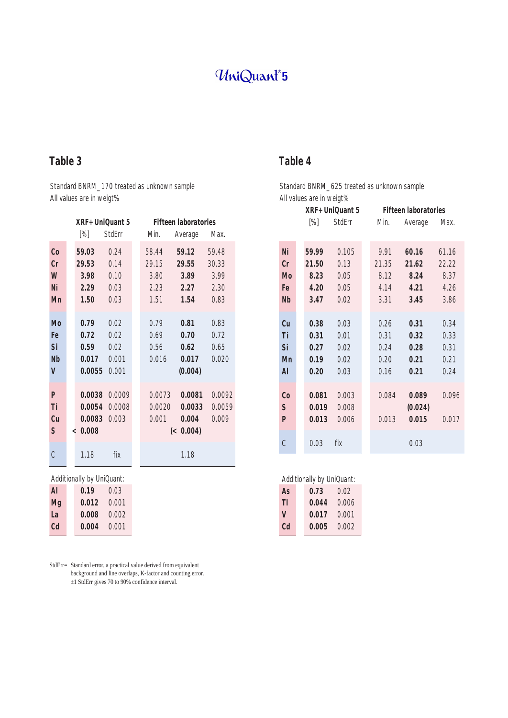## UniQuant®5

## **Table 3**

#### Standard BNRM\_170 treated as unknown sample All values are in weigt%

|               | XRF+UniQuant 5 |               | <b>Fifteen laboratories</b> |           |        |
|---------------|----------------|---------------|-----------------------------|-----------|--------|
|               | [%]            | <b>StdErr</b> | Min.                        | Average   | Max.   |
| Co            | 59.03          | 0.24          | 58.44                       | 59.12     | 59.48  |
| $C_{r}$       | 29.53          | 0.14          | 29.15                       | 29.55     | 30.33  |
| W             | 3.98           | 0.10          | 3.80                        | 3.89      | 3.99   |
| Ni            | 2.29           | 0.03          | 2.23                        | 2.27      | 2.30   |
| Mn            | 1.50           | 0.03          | 1.51                        | 1.54      | 0.83   |
|               |                |               |                             |           |        |
| Mo            | 0.79           | 0.02          | 0.79                        | 0.81      | 0.83   |
| Fe            | 0.72           | 0.02          | 0.69                        | 0.70      | 0.72   |
| Si            | 0.59           | 0.02          | 0.56                        | 0.62      | 0.65   |
| Nb            | 0.017          | 0.001         | 0.016                       | 0.017     | 0.020  |
| V             | 0.0055         | 0.001         |                             | (0.004)   |        |
|               |                |               |                             |           |        |
| P             | 0.0038         | 0.0009        | 0.0073                      | 0.0081    | 0.0092 |
| Ti            | 0.0054         | 0.0008        | 0.0020                      | 0.0033    | 0.0059 |
| Cu            | 0.0083         | 0.003         | 0.001                       | 0.004     | 0.009  |
| S             | < 0.008        |               |                             | (< 0.004) |        |
|               |                |               |                             |           |        |
| $\mathcal{C}$ | 1.18           | fix           |                             | 1.18      |        |

#### Additionally by UniQuant:

| Al        | 0.19  | 0.03  |
|-----------|-------|-------|
| Mg        | 0.012 | 0.001 |
| La        | 0.008 | 0.002 |
| <b>Cd</b> | 0.004 | 0.001 |
|           |       |       |

StdErr= Standard error, a practical value derived from equivalent background and line overlaps, K-factor and counting error. ±1 StdErr gives 70 to 90% confidence interval.

### **Table 4**

#### Standard BNRM\_625 treated as unknown sample All values are in weigt%

|                | XRF+UniQuant 5    |               |  | <b>Fifteen laboratories</b> |         |       |  |
|----------------|-------------------|---------------|--|-----------------------------|---------|-------|--|
|                | $\left[\%\right]$ | <b>StdErr</b> |  | Min.                        | Average | Max.  |  |
|                |                   |               |  |                             |         |       |  |
| Ni             | 59.99             | 0.105         |  | 9.91                        | 60.16   | 61.16 |  |
| $C_{r}$        | 21.50             | 0.13          |  | 21.35                       | 21.62   | 22.22 |  |
| Mo             | 8.23              | 0.05          |  | 8.12                        | 8.24    | 8.37  |  |
| Fe             | 4.20              | 0.05          |  | 4.14                        | 4.21    | 4.26  |  |
| <b>Nb</b>      | 3.47              | 0.02          |  | 3.31                        | 3.45    | 3.86  |  |
|                |                   |               |  |                             |         |       |  |
| Cu             | 0.38              | 0.03          |  | 0.26                        | 0.31    | 0.34  |  |
| Ti             | 0.31              | 0.01          |  | 0.31                        | 0.32    | 0.33  |  |
| Si             | 0.27              | 0.02          |  | 0.24                        | 0.28    | 0.31  |  |
| Mn             | 0.19              | 0.02          |  | 0.20                        | 0.21    | 0.21  |  |
| Al             | 0.20              | 0.03          |  | 0.16                        | 0.21    | 0.24  |  |
|                |                   |               |  |                             |         |       |  |
| $\mathfrak{C}$ | 0.081             | 0.003         |  | 0.084                       | 0.089   | 0.096 |  |
| S              | 0.019             | 0.008         |  |                             | (0.024) |       |  |
| $\mathbf{P}$   | 0.013             | 0.006         |  | 0.013                       | 0.015   | 0.017 |  |
|                |                   |               |  |                             |         |       |  |
| C              | 0.03              | fix           |  |                             | 0.03    |       |  |

| <b>Additionally by UniQuant:</b> |       |       |  |  |  |
|----------------------------------|-------|-------|--|--|--|
| As                               | 0.73  | 0.02  |  |  |  |
| TI                               | 0.044 | 0.006 |  |  |  |
| V                                | 0.017 | 0.001 |  |  |  |
| Cd                               | 0.005 | 0.002 |  |  |  |